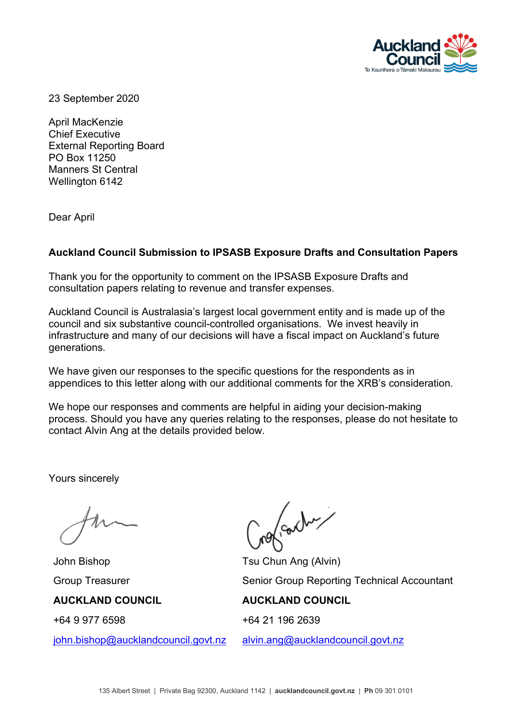

23 September 2020

April MacKenzie Chief Executive External Reporting Board PO Box 11250 Manners St Central Wellington 6142

Dear April

# **Auckland Council Submission to IPSASB Exposure Drafts and Consultation Papers**

Thank you for the opportunity to comment on the IPSASB Exposure Drafts and consultation papers relating to revenue and transfer expenses.

Auckland Council is Australasia's largest local government entity and is made up of the council and six substantive council-controlled organisations. We invest heavily in infrastructure and many of our decisions will have a fiscal impact on Auckland's future generations.

We have given our responses to the specific questions for the respondents as in appendices to this letter along with our additional comments for the XRB's consideration.

We hope our responses and comments are helpful in aiding your decision-making process. Should you have any queries relating to the responses, please do not hesitate to contact Alvin Ang at the details provided below.

Yours sincerely

John Bishop Tsu Chun Ang (Alvin) **AUCKLAND COUNCIL AUCKLAND COUNCIL**

non contra

Group Treasurer The Senior Group Reporting Technical Accountant +64 9 977 6598 +64 21 196 2639 [john.bishop@aucklandcouncil.govt.nz](mailto:john.bishop@aucklandcouncil.govt.nz) [alvin.ang@aucklandcouncil.govt.nz](mailto:alvin.ang@aucklandcouncil.govt.nz)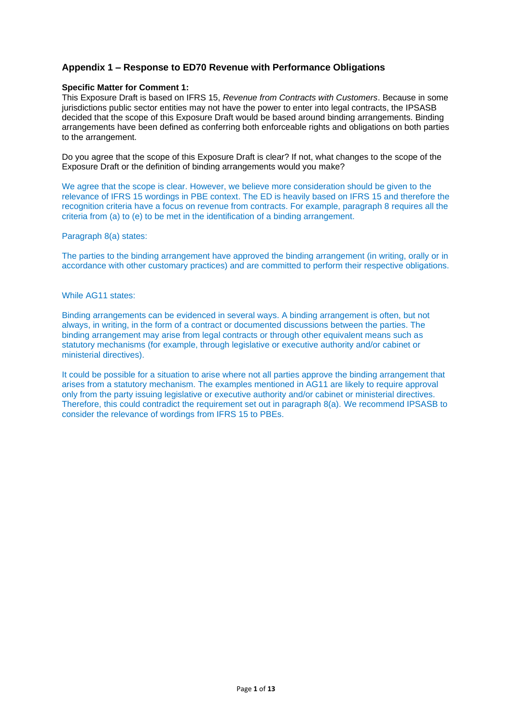# **Appendix 1 – Response to ED70 Revenue with Performance Obligations**

#### **Specific Matter for Comment 1:**

This Exposure Draft is based on IFRS 15, *Revenue from Contracts with Customers*. Because in some jurisdictions public sector entities may not have the power to enter into legal contracts, the IPSASB decided that the scope of this Exposure Draft would be based around binding arrangements. Binding arrangements have been defined as conferring both enforceable rights and obligations on both parties to the arrangement.

Do you agree that the scope of this Exposure Draft is clear? If not, what changes to the scope of the Exposure Draft or the definition of binding arrangements would you make?

We agree that the scope is clear. However, we believe more consideration should be given to the relevance of IFRS 15 wordings in PBE context. The ED is heavily based on IFRS 15 and therefore the recognition criteria have a focus on revenue from contracts. For example, paragraph 8 requires all the criteria from (a) to (e) to be met in the identification of a binding arrangement.

#### Paragraph 8(a) states:

The parties to the binding arrangement have approved the binding arrangement (in writing, orally or in accordance with other customary practices) and are committed to perform their respective obligations.

#### While AG11 states:

Binding arrangements can be evidenced in several ways. A binding arrangement is often, but not always, in writing, in the form of a contract or documented discussions between the parties. The binding arrangement may arise from legal contracts or through other equivalent means such as statutory mechanisms (for example, through legislative or executive authority and/or cabinet or ministerial directives).

It could be possible for a situation to arise where not all parties approve the binding arrangement that arises from a statutory mechanism. The examples mentioned in AG11 are likely to require approval only from the party issuing legislative or executive authority and/or cabinet or ministerial directives. Therefore, this could contradict the requirement set out in paragraph 8(a). We recommend IPSASB to consider the relevance of wordings from IFRS 15 to PBEs.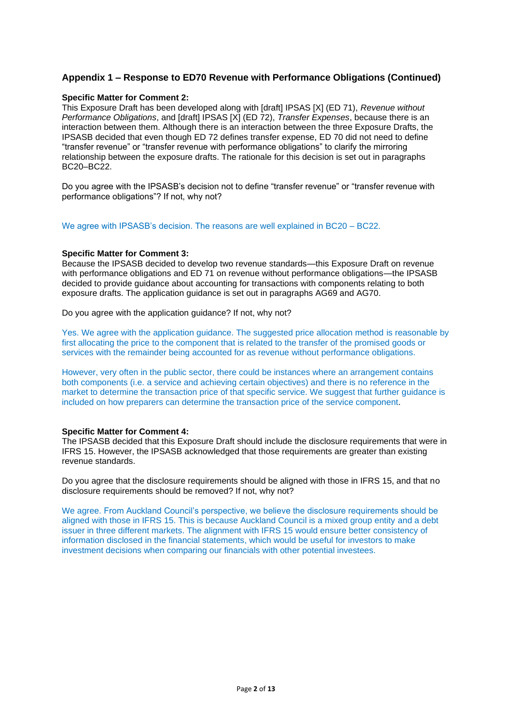# **Appendix 1 – Response to ED70 Revenue with Performance Obligations (Continued)**

#### **Specific Matter for Comment 2:**

This Exposure Draft has been developed along with [draft] IPSAS [X] (ED 71), *Revenue without Performance Obligations*, and [draft] IPSAS [X] (ED 72), *Transfer Expenses*, because there is an interaction between them. Although there is an interaction between the three Exposure Drafts, the IPSASB decided that even though ED 72 defines transfer expense, ED 70 did not need to define "transfer revenue" or "transfer revenue with performance obligations" to clarify the mirroring relationship between the exposure drafts. The rationale for this decision is set out in paragraphs BC20–BC22.

Do you agree with the IPSASB's decision not to define "transfer revenue" or "transfer revenue with performance obligations"? If not, why not?

#### We agree with IPSASB's decision. The reasons are well explained in BC20 – BC22.

#### **Specific Matter for Comment 3:**

Because the IPSASB decided to develop two revenue standards—this Exposure Draft on revenue with performance obligations and ED 71 on revenue without performance obligations—the IPSASB decided to provide guidance about accounting for transactions with components relating to both exposure drafts. The application guidance is set out in paragraphs AG69 and AG70.

Do you agree with the application guidance? If not, why not?

Yes. We agree with the application guidance. The suggested price allocation method is reasonable by first allocating the price to the component that is related to the transfer of the promised goods or services with the remainder being accounted for as revenue without performance obligations.

However, very often in the public sector, there could be instances where an arrangement contains both components (i.e. a service and achieving certain objectives) and there is no reference in the market to determine the transaction price of that specific service. We suggest that further guidance is included on how preparers can determine the transaction price of the service component.

#### **Specific Matter for Comment 4:**

The IPSASB decided that this Exposure Draft should include the disclosure requirements that were in IFRS 15. However, the IPSASB acknowledged that those requirements are greater than existing revenue standards.

Do you agree that the disclosure requirements should be aligned with those in IFRS 15, and that no disclosure requirements should be removed? If not, why not?

We agree. From Auckland Council's perspective, we believe the disclosure requirements should be aligned with those in IFRS 15. This is because Auckland Council is a mixed group entity and a debt issuer in three different markets. The alignment with IFRS 15 would ensure better consistency of information disclosed in the financial statements, which would be useful for investors to make investment decisions when comparing our financials with other potential investees.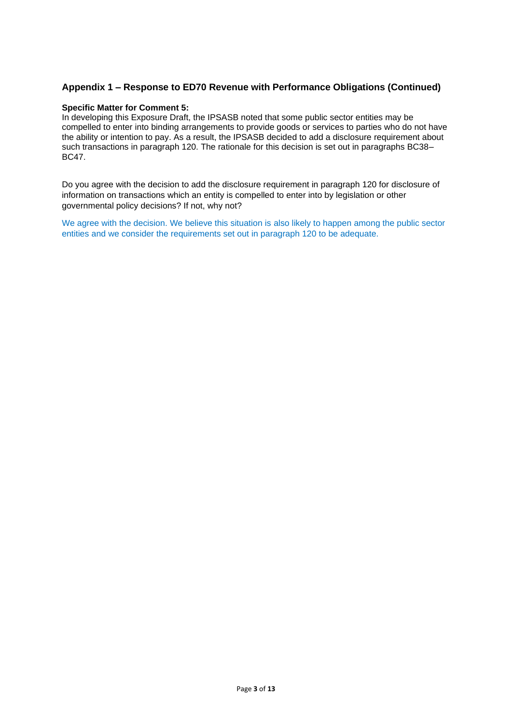# **Appendix 1 – Response to ED70 Revenue with Performance Obligations (Continued)**

#### **Specific Matter for Comment 5:**

In developing this Exposure Draft, the IPSASB noted that some public sector entities may be compelled to enter into binding arrangements to provide goods or services to parties who do not have the ability or intention to pay. As a result, the IPSASB decided to add a disclosure requirement about such transactions in paragraph 120. The rationale for this decision is set out in paragraphs BC38– BC47.

Do you agree with the decision to add the disclosure requirement in paragraph 120 for disclosure of information on transactions which an entity is compelled to enter into by legislation or other governmental policy decisions? If not, why not?

We agree with the decision. We believe this situation is also likely to happen among the public sector entities and we consider the requirements set out in paragraph 120 to be adequate.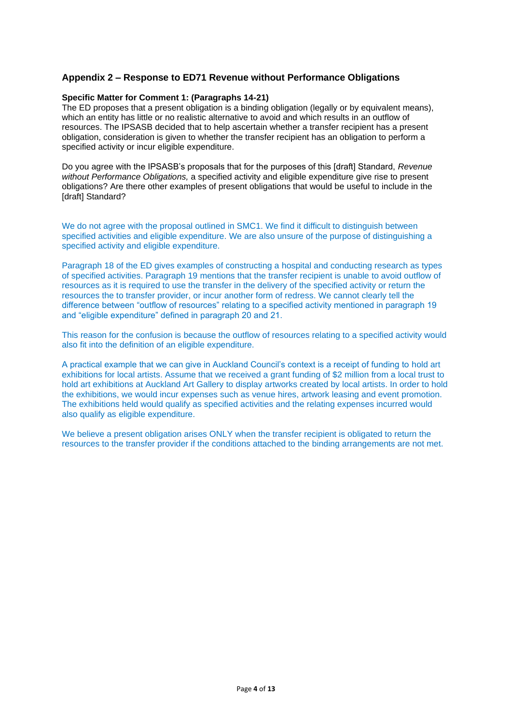# **Appendix 2 – Response to ED71 Revenue without Performance Obligations**

### **Specific Matter for Comment 1: (Paragraphs 14-21)**

The ED proposes that a present obligation is a binding obligation (legally or by equivalent means), which an entity has little or no realistic alternative to avoid and which results in an outflow of resources. The IPSASB decided that to help ascertain whether a transfer recipient has a present obligation, consideration is given to whether the transfer recipient has an obligation to perform a specified activity or incur eligible expenditure.

Do you agree with the IPSASB's proposals that for the purposes of this [draft] Standard, *Revenue without Performance Obligations,* a specified activity and eligible expenditure give rise to present obligations? Are there other examples of present obligations that would be useful to include in the [draft] Standard?

We do not agree with the proposal outlined in SMC1. We find it difficult to distinguish between specified activities and eligible expenditure. We are also unsure of the purpose of distinguishing a specified activity and eligible expenditure.

Paragraph 18 of the ED gives examples of constructing a hospital and conducting research as types of specified activities. Paragraph 19 mentions that the transfer recipient is unable to avoid outflow of resources as it is required to use the transfer in the delivery of the specified activity or return the resources the to transfer provider, or incur another form of redress. We cannot clearly tell the difference between "outflow of resources" relating to a specified activity mentioned in paragraph 19 and "eligible expenditure" defined in paragraph 20 and 21.

This reason for the confusion is because the outflow of resources relating to a specified activity would also fit into the definition of an eligible expenditure.

A practical example that we can give in Auckland Council's context is a receipt of funding to hold art exhibitions for local artists. Assume that we received a grant funding of \$2 million from a local trust to hold art exhibitions at Auckland Art Gallery to display artworks created by local artists. In order to hold the exhibitions, we would incur expenses such as venue hires, artwork leasing and event promotion. The exhibitions held would qualify as specified activities and the relating expenses incurred would also qualify as eligible expenditure.

We believe a present obligation arises ONLY when the transfer recipient is obligated to return the resources to the transfer provider if the conditions attached to the binding arrangements are not met.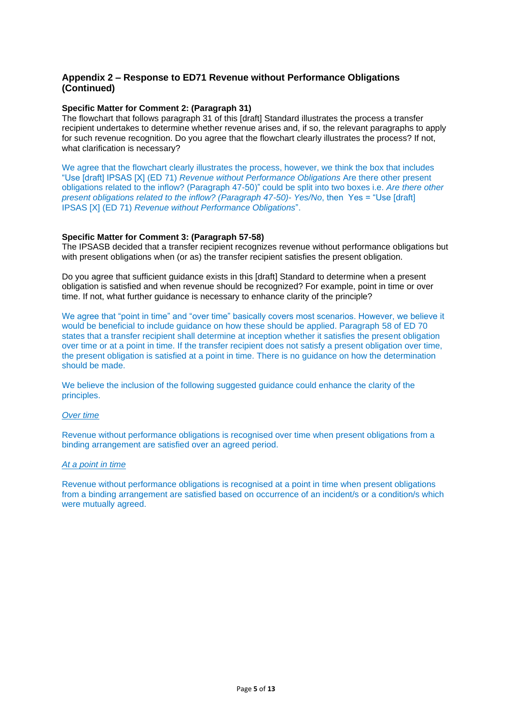# **Appendix 2 – Response to ED71 Revenue without Performance Obligations (Continued)**

### **Specific Matter for Comment 2: (Paragraph 31)**

The flowchart that follows paragraph 31 of this [draft] Standard illustrates the process a transfer recipient undertakes to determine whether revenue arises and, if so, the relevant paragraphs to apply for such revenue recognition. Do you agree that the flowchart clearly illustrates the process? If not, what clarification is necessary?

We agree that the flowchart clearly illustrates the process, however, we think the box that includes "Use [draft] IPSAS [X] (ED 71) *Revenue without Performance Obligations* Are there other present obligations related to the inflow? (Paragraph 47-50)" could be split into two boxes i.e. *Are there other present obligations related to the inflow? (Paragraph 47-50)- Yes/No*, then Yes = "Use [draft] IPSAS [X] (ED 71) *Revenue without Performance Obligations*".

## **Specific Matter for Comment 3: (Paragraph 57-58)**

The IPSASB decided that a transfer recipient recognizes revenue without performance obligations but with present obligations when (or as) the transfer recipient satisfies the present obligation.

Do you agree that sufficient guidance exists in this [draft] Standard to determine when a present obligation is satisfied and when revenue should be recognized? For example, point in time or over time. If not, what further guidance is necessary to enhance clarity of the principle?

We agree that "point in time" and "over time" basically covers most scenarios. However, we believe it would be beneficial to include guidance on how these should be applied. Paragraph 58 of ED 70 states that a transfer recipient shall determine at inception whether it satisfies the present obligation over time or at a point in time. If the transfer recipient does not satisfy a present obligation over time, the present obligation is satisfied at a point in time. There is no guidance on how the determination should be made.

We believe the inclusion of the following suggested guidance could enhance the clarity of the principles.

#### *Over time*

Revenue without performance obligations is recognised over time when present obligations from a binding arrangement are satisfied over an agreed period.

## *At a point in time*

Revenue without performance obligations is recognised at a point in time when present obligations from a binding arrangement are satisfied based on occurrence of an incident/s or a condition/s which were mutually agreed.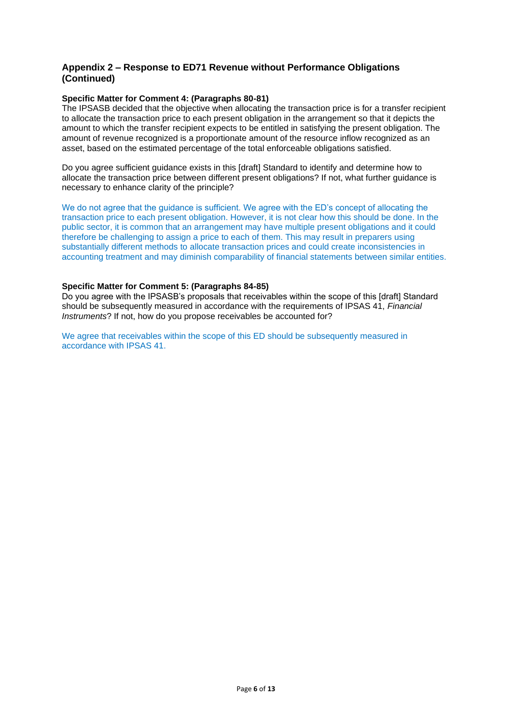# **Appendix 2 – Response to ED71 Revenue without Performance Obligations (Continued)**

## **Specific Matter for Comment 4: (Paragraphs 80-81)**

The IPSASB decided that the objective when allocating the transaction price is for a transfer recipient to allocate the transaction price to each present obligation in the arrangement so that it depicts the amount to which the transfer recipient expects to be entitled in satisfying the present obligation. The amount of revenue recognized is a proportionate amount of the resource inflow recognized as an asset, based on the estimated percentage of the total enforceable obligations satisfied.

Do you agree sufficient guidance exists in this [draft] Standard to identify and determine how to allocate the transaction price between different present obligations? If not, what further guidance is necessary to enhance clarity of the principle?

We do not agree that the guidance is sufficient. We agree with the ED's concept of allocating the transaction price to each present obligation. However, it is not clear how this should be done. In the public sector, it is common that an arrangement may have multiple present obligations and it could therefore be challenging to assign a price to each of them. This may result in preparers using substantially different methods to allocate transaction prices and could create inconsistencies in accounting treatment and may diminish comparability of financial statements between similar entities.

### **Specific Matter for Comment 5: (Paragraphs 84-85)**

Do you agree with the IPSASB's proposals that receivables within the scope of this [draft] Standard should be subsequently measured in accordance with the requirements of IPSAS 41, *Financial Instruments*? If not, how do you propose receivables be accounted for?

We agree that receivables within the scope of this ED should be subsequently measured in accordance with IPSAS 41.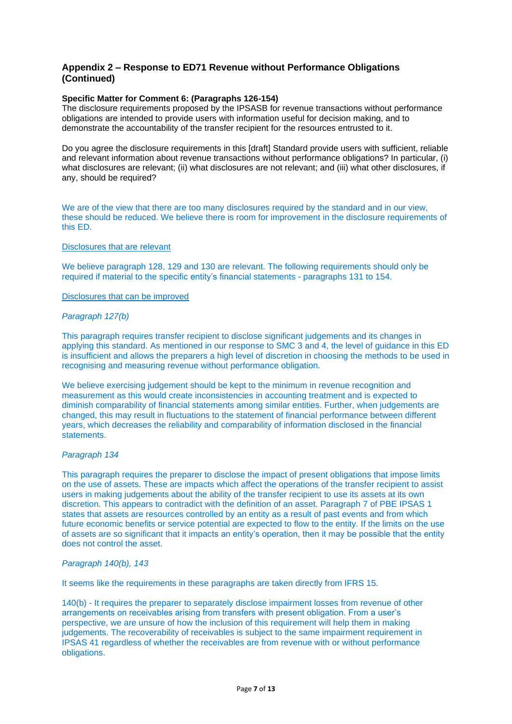# **Appendix 2 – Response to ED71 Revenue without Performance Obligations (Continued)**

## **Specific Matter for Comment 6: (Paragraphs 126-154)**

The disclosure requirements proposed by the IPSASB for revenue transactions without performance obligations are intended to provide users with information useful for decision making, and to demonstrate the accountability of the transfer recipient for the resources entrusted to it.

Do you agree the disclosure requirements in this [draft] Standard provide users with sufficient, reliable and relevant information about revenue transactions without performance obligations? In particular, (i) what disclosures are relevant; (ii) what disclosures are not relevant; and (iii) what other disclosures, if any, should be required?

We are of the view that there are too many disclosures required by the standard and in our view. these should be reduced. We believe there is room for improvement in the disclosure requirements of this ED.

#### Disclosures that are relevant

We believe paragraph 128, 129 and 130 are relevant. The following requirements should only be required if material to the specific entity's financial statements - paragraphs 131 to 154.

#### Disclosures that can be improved

#### *Paragraph 127(b)*

This paragraph requires transfer recipient to disclose significant judgements and its changes in applying this standard. As mentioned in our response to SMC 3 and 4, the level of guidance in this ED is insufficient and allows the preparers a high level of discretion in choosing the methods to be used in recognising and measuring revenue without performance obligation.

We believe exercising judgement should be kept to the minimum in revenue recognition and measurement as this would create inconsistencies in accounting treatment and is expected to diminish comparability of financial statements among similar entities. Further, when judgements are changed, this may result in fluctuations to the statement of financial performance between different years, which decreases the reliability and comparability of information disclosed in the financial statements.

#### *Paragraph 134*

This paragraph requires the preparer to disclose the impact of present obligations that impose limits on the use of assets. These are impacts which affect the operations of the transfer recipient to assist users in making judgements about the ability of the transfer recipient to use its assets at its own discretion. This appears to contradict with the definition of an asset. Paragraph 7 of PBE IPSAS 1 states that assets are resources controlled by an entity as a result of past events and from which future economic benefits or service potential are expected to flow to the entity. If the limits on the use of assets are so significant that it impacts an entity's operation, then it may be possible that the entity does not control the asset.

#### *Paragraph 140(b), 143*

It seems like the requirements in these paragraphs are taken directly from IFRS 15.

140(b) - It requires the preparer to separately disclose impairment losses from revenue of other arrangements on receivables arising from transfers with present obligation. From a user's perspective, we are unsure of how the inclusion of this requirement will help them in making judgements. The recoverability of receivables is subject to the same impairment requirement in IPSAS 41 regardless of whether the receivables are from revenue with or without performance obligations.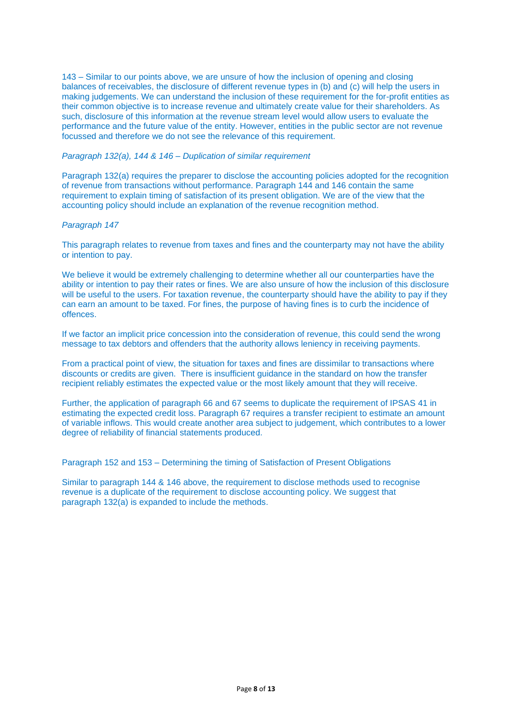143 – Similar to our points above, we are unsure of how the inclusion of opening and closing balances of receivables, the disclosure of different revenue types in (b) and (c) will help the users in making judgements. We can understand the inclusion of these requirement for the for-profit entities as their common objective is to increase revenue and ultimately create value for their shareholders. As such, disclosure of this information at the revenue stream level would allow users to evaluate the performance and the future value of the entity. However, entities in the public sector are not revenue focussed and therefore we do not see the relevance of this requirement.

#### *Paragraph 132(a), 144 & 146 – Duplication of similar requirement*

Paragraph 132(a) requires the preparer to disclose the accounting policies adopted for the recognition of revenue from transactions without performance. Paragraph 144 and 146 contain the same requirement to explain timing of satisfaction of its present obligation. We are of the view that the accounting policy should include an explanation of the revenue recognition method.

#### *Paragraph 147*

This paragraph relates to revenue from taxes and fines and the counterparty may not have the ability or intention to pay.

We believe it would be extremely challenging to determine whether all our counterparties have the ability or intention to pay their rates or fines. We are also unsure of how the inclusion of this disclosure will be useful to the users. For taxation revenue, the counterparty should have the ability to pay if they can earn an amount to be taxed. For fines, the purpose of having fines is to curb the incidence of offences.

If we factor an implicit price concession into the consideration of revenue, this could send the wrong message to tax debtors and offenders that the authority allows leniency in receiving payments.

From a practical point of view, the situation for taxes and fines are dissimilar to transactions where discounts or credits are given. There is insufficient guidance in the standard on how the transfer recipient reliably estimates the expected value or the most likely amount that they will receive.

Further, the application of paragraph 66 and 67 seems to duplicate the requirement of IPSAS 41 in estimating the expected credit loss. Paragraph 67 requires a transfer recipient to estimate an amount of variable inflows. This would create another area subject to judgement, which contributes to a lower degree of reliability of financial statements produced.

Paragraph 152 and 153 – Determining the timing of Satisfaction of Present Obligations

Similar to paragraph 144 & 146 above, the requirement to disclose methods used to recognise revenue is a duplicate of the requirement to disclose accounting policy. We suggest that paragraph 132(a) is expanded to include the methods.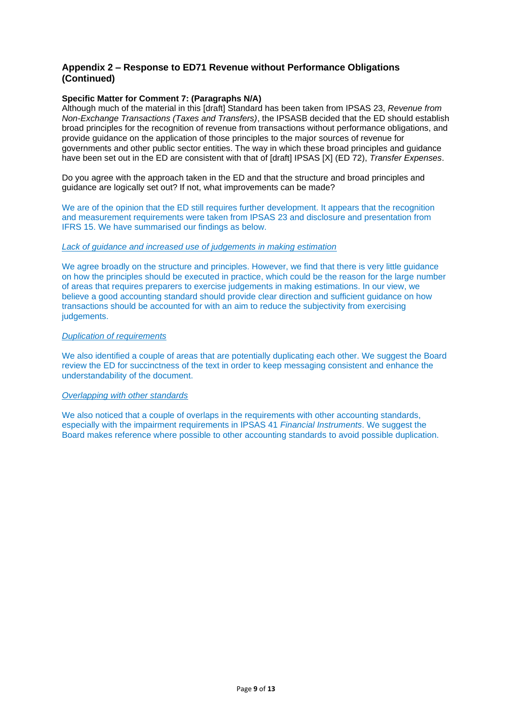## **Appendix 2 – Response to ED71 Revenue without Performance Obligations (Continued)**

## **Specific Matter for Comment 7: (Paragraphs N/A)**

Although much of the material in this [draft] Standard has been taken from IPSAS 23, *Revenue from Non-Exchange Transactions (Taxes and Transfers)*, the IPSASB decided that the ED should establish broad principles for the recognition of revenue from transactions without performance obligations, and provide guidance on the application of those principles to the major sources of revenue for governments and other public sector entities. The way in which these broad principles and guidance have been set out in the ED are consistent with that of [draft] IPSAS [X] (ED 72), *Transfer Expenses*.

Do you agree with the approach taken in the ED and that the structure and broad principles and guidance are logically set out? If not, what improvements can be made?

We are of the opinion that the ED still requires further development. It appears that the recognition and measurement requirements were taken from IPSAS 23 and disclosure and presentation from IFRS 15. We have summarised our findings as below.

#### *Lack of guidance and increased use of judgements in making estimation*

We agree broadly on the structure and principles. However, we find that there is very little guidance on how the principles should be executed in practice, which could be the reason for the large number of areas that requires preparers to exercise judgements in making estimations. In our view, we believe a good accounting standard should provide clear direction and sufficient guidance on how transactions should be accounted for with an aim to reduce the subjectivity from exercising judgements.

### *Duplication of requirements*

We also identified a couple of areas that are potentially duplicating each other. We suggest the Board review the ED for succinctness of the text in order to keep messaging consistent and enhance the understandability of the document.

#### *Overlapping with other standards*

We also noticed that a couple of overlaps in the requirements with other accounting standards, especially with the impairment requirements in IPSAS 41 *Financial Instruments*. We suggest the Board makes reference where possible to other accounting standards to avoid possible duplication.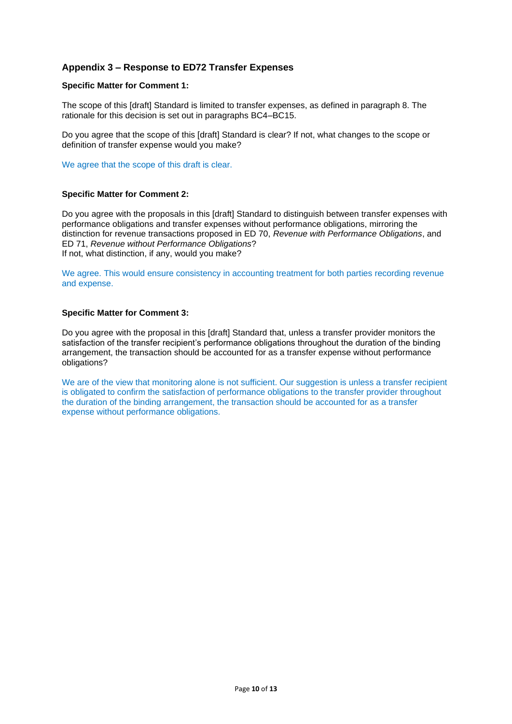# **Appendix 3 – Response to ED72 Transfer Expenses**

### **Specific Matter for Comment 1:**

The scope of this [draft] Standard is limited to transfer expenses, as defined in paragraph 8. The rationale for this decision is set out in paragraphs BC4–BC15.

Do you agree that the scope of this [draft] Standard is clear? If not, what changes to the scope or definition of transfer expense would you make?

We agree that the scope of this draft is clear.

#### **Specific Matter for Comment 2:**

Do you agree with the proposals in this [draft] Standard to distinguish between transfer expenses with performance obligations and transfer expenses without performance obligations, mirroring the distinction for revenue transactions proposed in ED 70, *Revenue with Performance Obligations*, and ED 71, *Revenue without Performance Obligations*? If not, what distinction, if any, would you make?

We agree. This would ensure consistency in accounting treatment for both parties recording revenue and expense.

#### **Specific Matter for Comment 3:**

Do you agree with the proposal in this [draft] Standard that, unless a transfer provider monitors the satisfaction of the transfer recipient's performance obligations throughout the duration of the binding arrangement, the transaction should be accounted for as a transfer expense without performance obligations?

We are of the view that monitoring alone is not sufficient. Our suggestion is unless a transfer recipient is obligated to confirm the satisfaction of performance obligations to the transfer provider throughout the duration of the binding arrangement, the transaction should be accounted for as a transfer expense without performance obligations.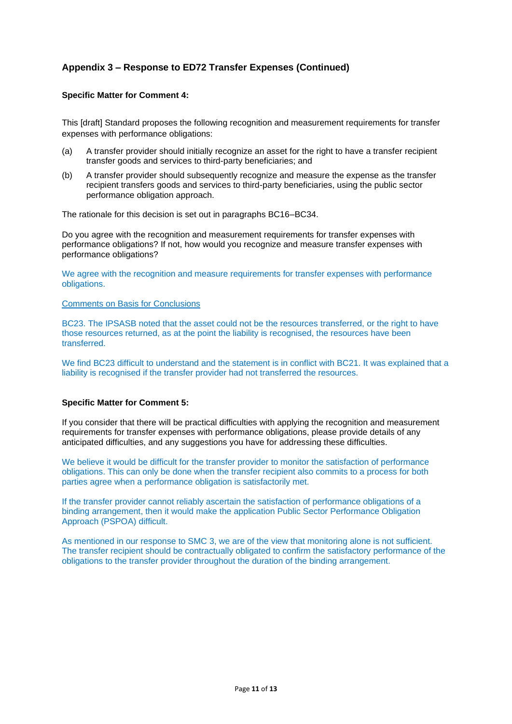# **Appendix 3 – Response to ED72 Transfer Expenses (Continued)**

### **Specific Matter for Comment 4:**

This [draft] Standard proposes the following recognition and measurement requirements for transfer expenses with performance obligations:

- (a) A transfer provider should initially recognize an asset for the right to have a transfer recipient transfer goods and services to third-party beneficiaries; and
- (b) A transfer provider should subsequently recognize and measure the expense as the transfer recipient transfers goods and services to third-party beneficiaries, using the public sector performance obligation approach.

The rationale for this decision is set out in paragraphs BC16–BC34.

Do you agree with the recognition and measurement requirements for transfer expenses with performance obligations? If not, how would you recognize and measure transfer expenses with performance obligations?

We agree with the recognition and measure requirements for transfer expenses with performance obligations.

#### Comments on Basis for Conclusions

BC23. The IPSASB noted that the asset could not be the resources transferred, or the right to have those resources returned, as at the point the liability is recognised, the resources have been transferred.

We find BC23 difficult to understand and the statement is in conflict with BC21. It was explained that a liability is recognised if the transfer provider had not transferred the resources.

### **Specific Matter for Comment 5:**

If you consider that there will be practical difficulties with applying the recognition and measurement requirements for transfer expenses with performance obligations, please provide details of any anticipated difficulties, and any suggestions you have for addressing these difficulties.

We believe it would be difficult for the transfer provider to monitor the satisfaction of performance obligations. This can only be done when the transfer recipient also commits to a process for both parties agree when a performance obligation is satisfactorily met.

If the transfer provider cannot reliably ascertain the satisfaction of performance obligations of a binding arrangement, then it would make the application Public Sector Performance Obligation Approach (PSPOA) difficult.

As mentioned in our response to SMC 3, we are of the view that monitoring alone is not sufficient. The transfer recipient should be contractually obligated to confirm the satisfactory performance of the obligations to the transfer provider throughout the duration of the binding arrangement.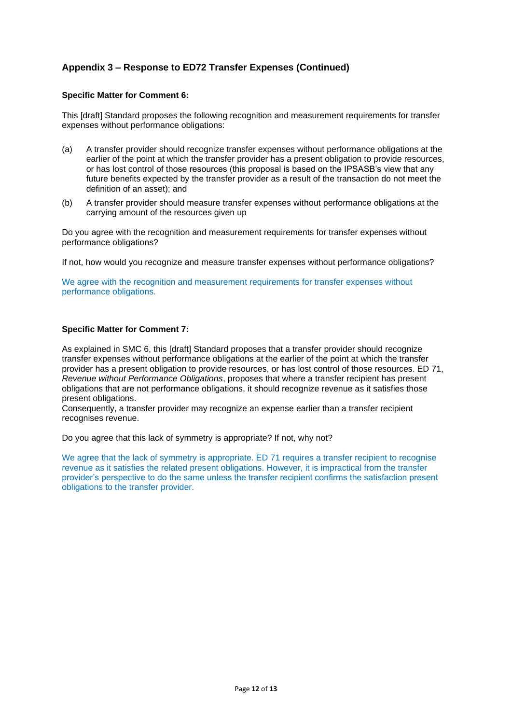# **Appendix 3 – Response to ED72 Transfer Expenses (Continued)**

## **Specific Matter for Comment 6:**

This [draft] Standard proposes the following recognition and measurement requirements for transfer expenses without performance obligations:

- (a) A transfer provider should recognize transfer expenses without performance obligations at the earlier of the point at which the transfer provider has a present obligation to provide resources, or has lost control of those resources (this proposal is based on the IPSASB's view that any future benefits expected by the transfer provider as a result of the transaction do not meet the definition of an asset); and
- (b) A transfer provider should measure transfer expenses without performance obligations at the carrying amount of the resources given up

Do you agree with the recognition and measurement requirements for transfer expenses without performance obligations?

If not, how would you recognize and measure transfer expenses without performance obligations?

We agree with the recognition and measurement requirements for transfer expenses without performance obligations.

## **Specific Matter for Comment 7:**

As explained in SMC 6, this [draft] Standard proposes that a transfer provider should recognize transfer expenses without performance obligations at the earlier of the point at which the transfer provider has a present obligation to provide resources, or has lost control of those resources. ED 71, *Revenue without Performance Obligations*, proposes that where a transfer recipient has present obligations that are not performance obligations, it should recognize revenue as it satisfies those present obligations.

Consequently, a transfer provider may recognize an expense earlier than a transfer recipient recognises revenue.

Do you agree that this lack of symmetry is appropriate? If not, why not?

We agree that the lack of symmetry is appropriate. ED 71 requires a transfer recipient to recognise revenue as it satisfies the related present obligations. However, it is impractical from the transfer provider's perspective to do the same unless the transfer recipient confirms the satisfaction present obligations to the transfer provider.